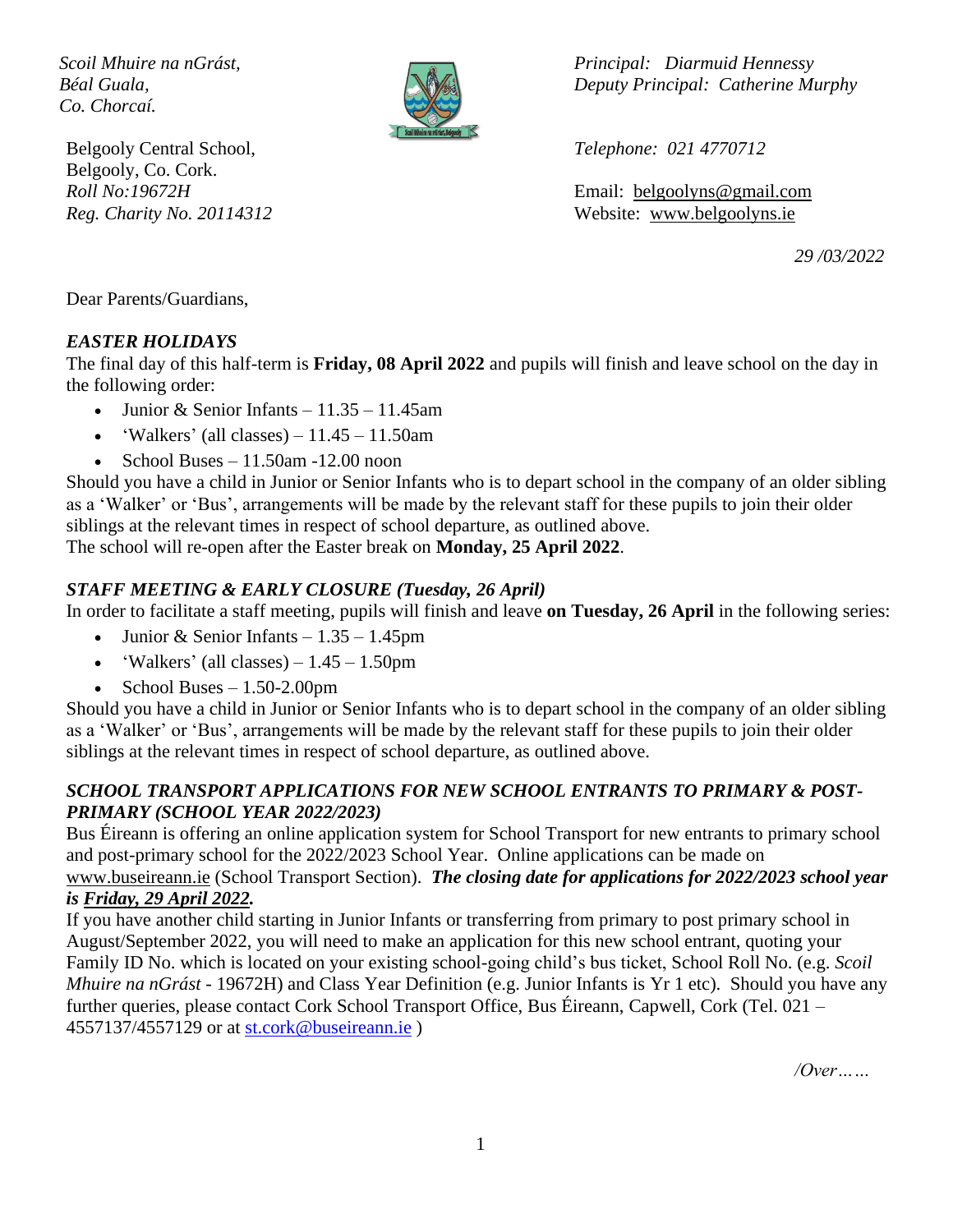*Co. Chorcaí.*



Belgooly Central School, *Telephone: 021 4770712* Belgooly, Co. Cork.

*Scoil Mhuire na nGrást, Principal: Diarmuid Hennessy Béal Guala, Deputy Principal: Catherine Murphy*

*Roll No:19672H* Email: [belgoolyns@gmail.com](mailto:belgoolyns@gmail.com) *Reg. Charity No. 20114312* Website: [www.belgoolyns.ie](http://www.belgoolyns.scoilnet.ie/)

*29 /03/2022*

Dear Parents/Guardians,

#### *EASTER HOLIDAYS*

The final day of this half-term is **Friday, 08 April 2022** and pupils will finish and leave school on the day in the following order:

- Junior & Senior Infants  $11.35 11.45$ am
- 'Walkers' (all classes)  $11.45 11.50$ am
- School Buses  $11.50$ am -12.00 noon

Should you have a child in Junior or Senior Infants who is to depart school in the company of an older sibling as a 'Walker' or 'Bus', arrangements will be made by the relevant staff for these pupils to join their older siblings at the relevant times in respect of school departure, as outlined above. The school will re-open after the Easter break on **Monday, 25 April 2022**.

### *STAFF MEETING & EARLY CLOSURE (Tuesday, 26 April)*

In order to facilitate a staff meeting, pupils will finish and leave **on Tuesday, 26 April** in the following series:

- Junior & Senior Infants  $1.35 1.45$ pm
- 'Walkers' (all classes)  $-1.45 1.50$ pm
- School Buses  $-1.50-2.00$ pm

Should you have a child in Junior or Senior Infants who is to depart school in the company of an older sibling as a 'Walker' or 'Bus', arrangements will be made by the relevant staff for these pupils to join their older siblings at the relevant times in respect of school departure, as outlined above.

#### *SCHOOL TRANSPORT APPLICATIONS FOR NEW SCHOOL ENTRANTS TO PRIMARY & POST-PRIMARY (SCHOOL YEAR 2022/2023)*

Bus Éireann is offering an online application system for School Transport for new entrants to primary school and post-primary school for the 2022/2023 School Year. Online applications can be made on [www.buseireann.ie](http://www.buseireann.ie/) (School Transport Section). *The closing date for applications for 2022/2023 school year* 

# *is Friday, 29 April 2022.*

If you have another child starting in Junior Infants or transferring from primary to post primary school in August/September 2022, you will need to make an application for this new school entrant, quoting your Family ID No. which is located on your existing school-going child's bus ticket, School Roll No. (e.g. *Scoil Mhuire na nGrást* - 19672H) and Class Year Definition (e.g. Junior Infants is Yr 1 etc). Should you have any further queries, please contact Cork School Transport Office, Bus Éireann, Capwell, Cork (Tel. 021 – 4557137/4557129 or at [st.cork@buseireann.ie](mailto:st.cork@buseireann.ie) )

*/Over……*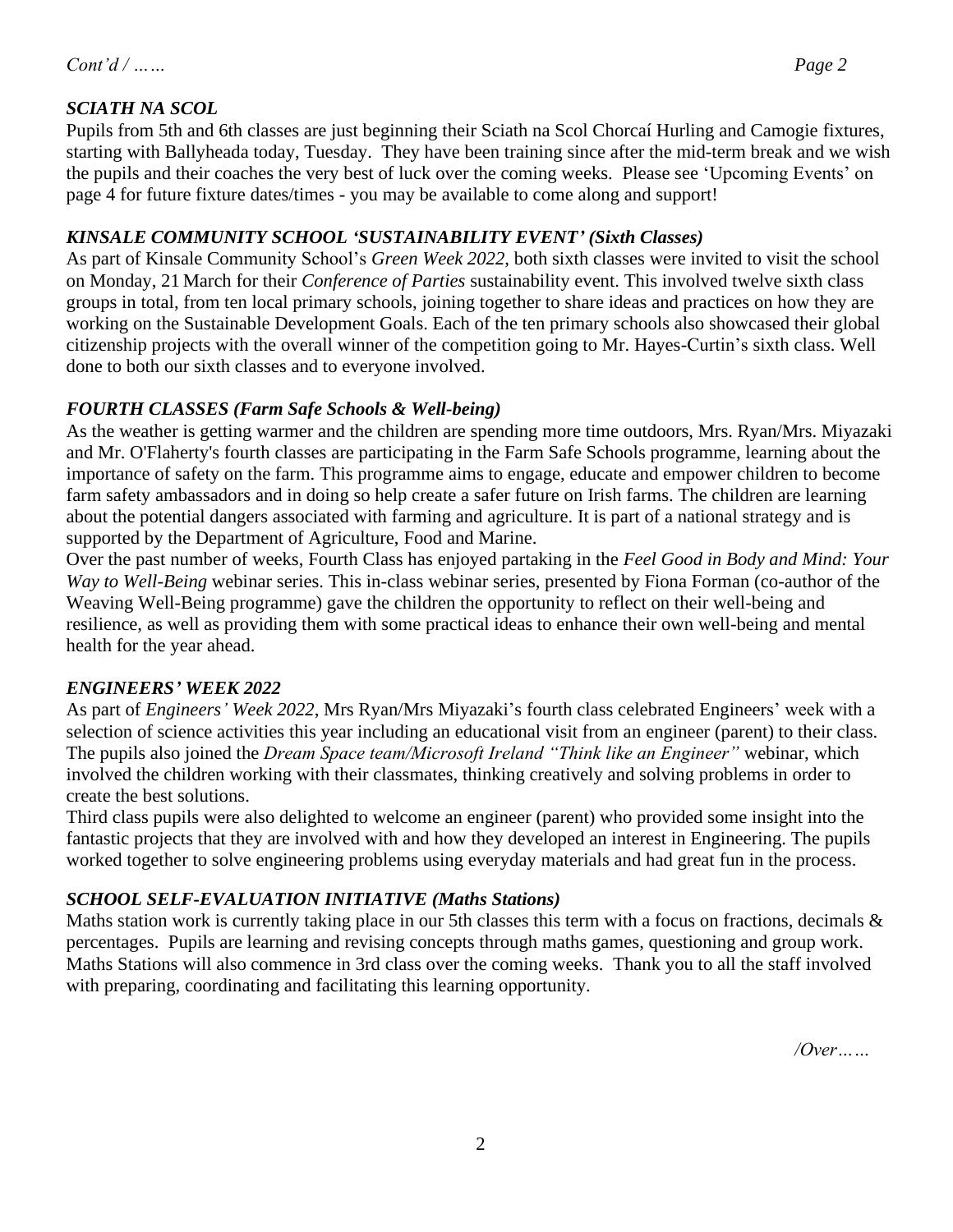Pupils from 5th and 6th classes are just beginning their Sciath na Scol Chorcaí Hurling and Camogie fixtures, starting with Ballyheada today, Tuesday. They have been training since after the mid-term break and we wish the pupils and their coaches the very best of luck over the coming weeks. Please see 'Upcoming Events' on page 4 for future fixture dates/times - you may be available to come along and support!

### *KINSALE COMMUNITY SCHOOL 'SUSTAINABILITY EVENT' (Sixth Classes)*

As part of Kinsale Community School's *Green Week 2022*, both sixth classes were invited to visit the school on Monday, 21 March for their *Conference of Parties* sustainability event. This involved twelve sixth class groups in total, from ten local primary schools, joining together to share ideas and practices on how they are working on the Sustainable Development Goals. Each of the ten primary schools also showcased their global citizenship projects with the overall winner of the competition going to Mr. Hayes-Curtin's sixth class. Well done to both our sixth classes and to everyone involved.

## *FOURTH CLASSES (Farm Safe Schools & Well-being)*

As the weather is getting warmer and the children are spending more time outdoors, Mrs. Ryan/Mrs. Miyazaki and Mr. O'Flaherty's fourth classes are participating in the Farm Safe Schools programme, learning about the importance of safety on the farm. This programme aims to engage, educate and empower children to become farm safety ambassadors and in doing so help create a safer future on Irish farms. The children are learning about the potential dangers associated with farming and agriculture. It is part of a national strategy and is supported by the Department of Agriculture, Food and Marine.

Over the past number of weeks, Fourth Class has enjoyed partaking in the *Feel Good in Body and Mind: Your Way to Well-Being* webinar series. This in-class webinar series, presented by Fiona Forman (co-author of the Weaving Well-Being programme) gave the children the opportunity to reflect on their well-being and resilience, as well as providing them with some practical ideas to enhance their own well-being and mental health for the year ahead.

## *ENGINEERS' WEEK 2022*

As part of *Engineers' Week 2022*, Mrs Ryan/Mrs Miyazaki's fourth class celebrated Engineers' week with a selection of science activities this year including an educational visit from an engineer (parent) to their class. The pupils also joined the *Dream Space team/Microsoft Ireland "Think like an Engineer"* webinar, which involved the children working with their classmates, thinking creatively and solving problems in order to create the best solutions.

Third class pupils were also delighted to welcome an engineer (parent) who provided some insight into the fantastic projects that they are involved with and how they developed an interest in Engineering. The pupils worked together to solve engineering problems using everyday materials and had great fun in the process.

## *SCHOOL SELF-EVALUATION INITIATIVE (Maths Stations)*

Maths station work is currently taking place in our 5th classes this term with a focus on fractions, decimals  $\&$ percentages. Pupils are learning and revising concepts through maths games, questioning and group work. Maths Stations will also commence in 3rd class over the coming weeks. Thank you to all the staff involved with preparing, coordinating and facilitating this learning opportunity.

*/Over……*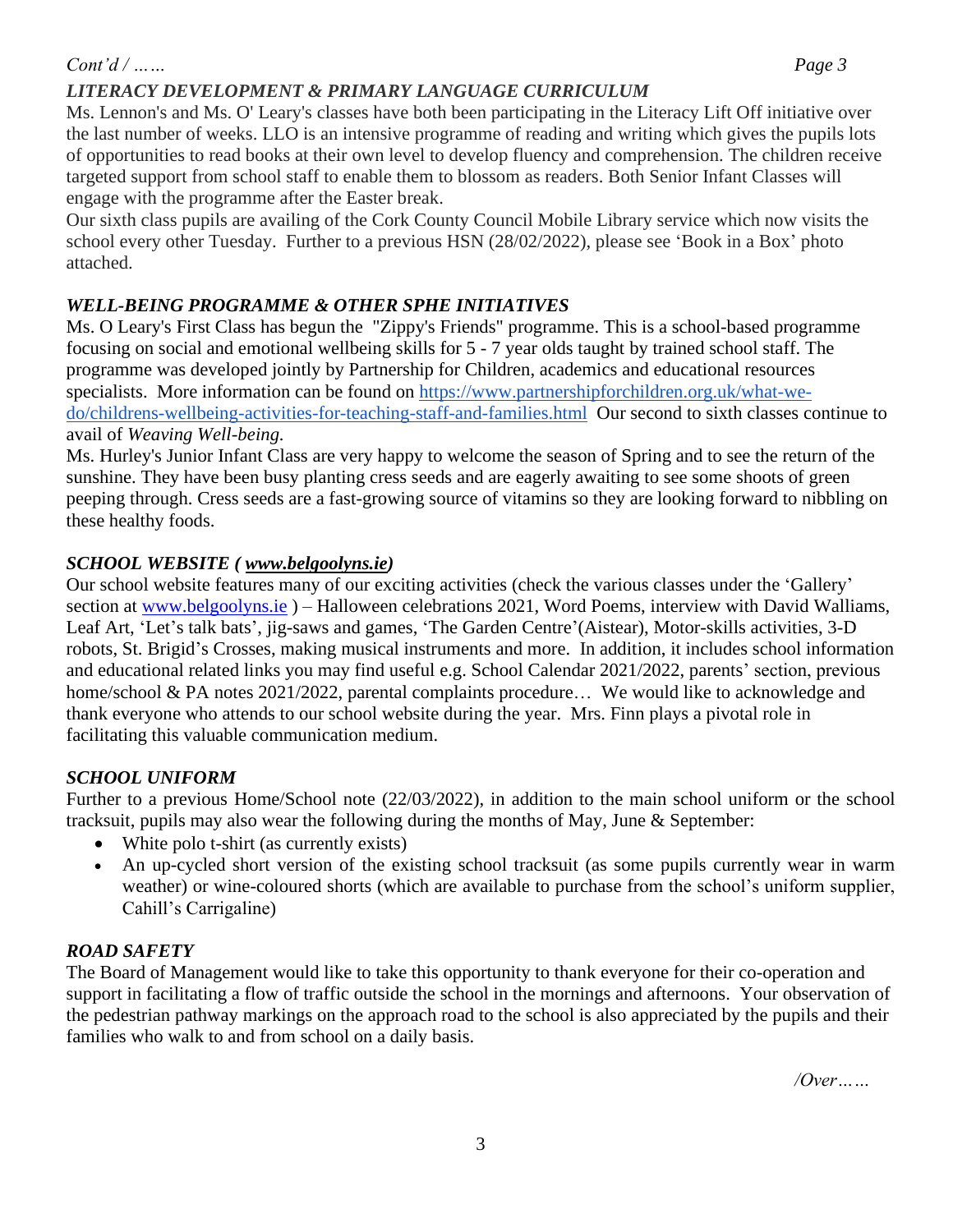## *Cont'd / …… Page 3*

### *LITERACY DEVELOPMENT & PRIMARY LANGUAGE CURRICULUM*

Ms. Lennon's and Ms. O' Leary's classes have both been participating in the Literacy Lift Off initiative over the last number of weeks. LLO is an intensive programme of reading and writing which gives the pupils lots of opportunities to read books at their own level to develop fluency and comprehension. The children receive targeted support from school staff to enable them to blossom as readers. Both Senior Infant Classes will engage with the programme after the Easter break.

Our sixth class pupils are availing of the Cork County Council Mobile Library service which now visits the school every other Tuesday. Further to a previous HSN (28/02/2022), please see 'Book in a Box' photo attached.

### *WELL-BEING PROGRAMME & OTHER SPHE INITIATIVES*

Ms. O Leary's First Class has begun the "Zippy's Friends" programme. This is a school-based programme focusing on social and emotional wellbeing skills for 5 - 7 year olds taught by trained school staff. The programme was developed jointly by Partnership for Children, academics and educational resources specialists. More information can be found on [https://www.partnershipforchildren.org.uk/what-we](https://www.partnershipforchildren.org.uk/what-we-do/childrens-wellbeing-activities-for-teaching-staff-and-families.html)[do/childrens-wellbeing-activities-for-teaching-staff-and-families.html](https://www.partnershipforchildren.org.uk/what-we-do/childrens-wellbeing-activities-for-teaching-staff-and-families.html) Our second to sixth classes continue to avail of *Weaving Well-being.*

Ms. Hurley's Junior Infant Class are very happy to welcome the season of Spring and to see the return of the sunshine. They have been busy planting cress seeds and are eagerly awaiting to see some shoots of green peeping through. Cress seeds are a fast-growing source of vitamins so they are looking forward to nibbling on these healthy foods.

#### *SCHOOL WEBSITE ( [www.belgoolyns.ie\)](http://www.belgoolyns.ie/)*

Our school website features many of our exciting activities (check the various classes under the 'Gallery' section at [www.belgoolyns.ie](http://www.belgoolyns.ie/)) – Halloween celebrations 2021, Word Poems, interview with David Walliams, Leaf Art, 'Let's talk bats', jig-saws and games, 'The Garden Centre'(Aistear), Motor-skills activities, 3-D robots, St. Brigid's Crosses, making musical instruments and more. In addition, it includes school information and educational related links you may find useful e.g. School Calendar 2021/2022, parents' section, previous home/school & PA notes 2021/2022, parental complaints procedure... We would like to acknowledge and thank everyone who attends to our school website during the year. Mrs. Finn plays a pivotal role in facilitating this valuable communication medium.

### *SCHOOL UNIFORM*

Further to a previous Home/School note (22/03/2022), in addition to the main school uniform or the school tracksuit, pupils may also wear the following during the months of May, June & September:

- White polo t-shirt (as currently exists)
- An up-cycled short version of the existing school tracksuit (as some pupils currently wear in warm weather) or wine-coloured shorts (which are available to purchase from the school's uniform supplier, Cahill's Carrigaline)

#### *ROAD SAFETY*

The Board of Management would like to take this opportunity to thank everyone for their co-operation and support in facilitating a flow of traffic outside the school in the mornings and afternoons. Your observation of the pedestrian pathway markings on the approach road to the school is also appreciated by the pupils and their families who walk to and from school on a daily basis.

*/Over……*